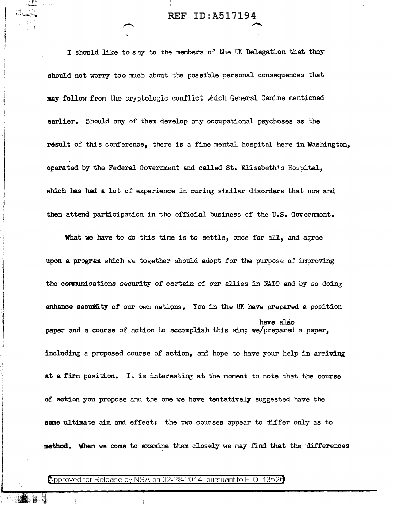REF ID:A517194

..-....

I should like to say to the members of the UK Delegation that they should not worry too much about the possible personal consequences that may follow from the cryptologic conflict which General Canine mentioned earlier. Should any of them develop any occupational psychoses as the result of this conference, there is a fine mental hospital here in Washington, operated by the Federal Government and called St. Elizabeth's Hospital, which has had a lot of experience in curing similar disorders that now and then attend participation in the official business of the U.S. Government.

What we have to do this time is to settle, once for all, and agree upon a program which we together should adopt for the purpose of improving the communications security of certain of our allies in NATO and by so doing enhance secuid ty of our own nations. You in the UK have prepared a position have also paper and a course of action to accomplish this aim; we/prepared a paper, including a proposed course of action, and hope to have your help in arriving at a firm position. It is interesting at the moment to note that the course of action you propose and the one we have tentatively suggested have the same ultimate aim and effect: the two courses appear to differ only as to method. When we come to examine them closely we may find that the differences

## Approved for Release by NSA on 02-28-2014 pursuant to E.O. 13526

 $\mathbb{I}$  . 11